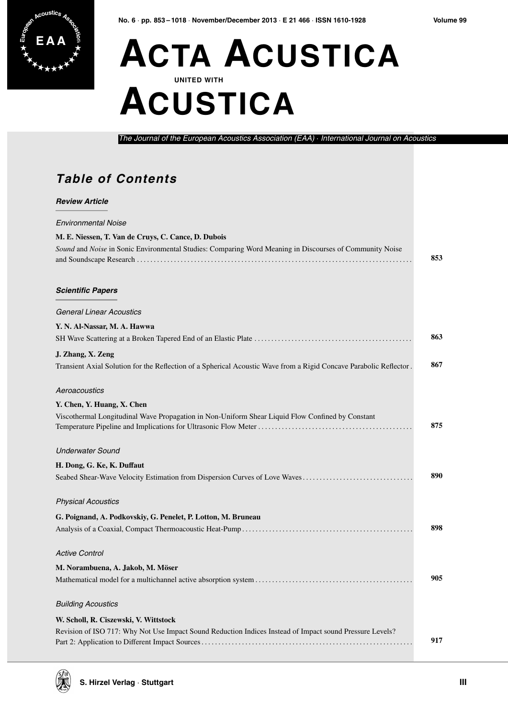

## **E A A ACTA ACUSTICA UNITED WITH ACUSTICA**

*The Journal of the European Acoustics Association (EAA)* · *International Journal on Acoustics*

## **Table of Contents**

## *Review Article*

| <b>Environmental Noise</b>                                                                                         |     |
|--------------------------------------------------------------------------------------------------------------------|-----|
| M. E. Niessen, T. Van de Cruys, C. Cance, D. Dubois                                                                |     |
| Sound and Noise in Sonic Environmental Studies: Comparing Word Meaning in Discourses of Community Noise            | 853 |
| <b>Scientific Papers</b>                                                                                           |     |
| <b>General Linear Acoustics</b>                                                                                    |     |
| Y. N. Al-Nassar, M. A. Hawwa                                                                                       |     |
|                                                                                                                    | 863 |
| J. Zhang, X. Zeng                                                                                                  |     |
| Transient Axial Solution for the Reflection of a Spherical Acoustic Wave from a Rigid Concave Parabolic Reflector. | 867 |
| Aeroacoustics                                                                                                      |     |
| Y. Chen, Y. Huang, X. Chen                                                                                         |     |
| Viscothermal Longitudinal Wave Propagation in Non-Uniform Shear Liquid Flow Confined by Constant                   |     |
|                                                                                                                    | 875 |
| <b>Underwater Sound</b>                                                                                            |     |
| H. Dong, G. Ke, K. Duffaut                                                                                         |     |
| Seabed Shear-Wave Velocity Estimation from Dispersion Curves of Love Waves                                         | 890 |
| <b>Physical Acoustics</b>                                                                                          |     |
| G. Poignand, A. Podkovskiy, G. Penelet, P. Lotton, M. Bruneau                                                      |     |
|                                                                                                                    | 898 |
| <b>Active Control</b>                                                                                              |     |
| M. Norambuena, A. Jakob, M. Möser                                                                                  |     |
|                                                                                                                    | 905 |
| <b>Building Acoustics</b>                                                                                          |     |
| W. Scholl, R. Ciszewski, V. Wittstock                                                                              |     |
| Revision of ISO 717: Why Not Use Impact Sound Reduction Indices Instead of Impact sound Pressure Levels?           |     |
|                                                                                                                    | 917 |